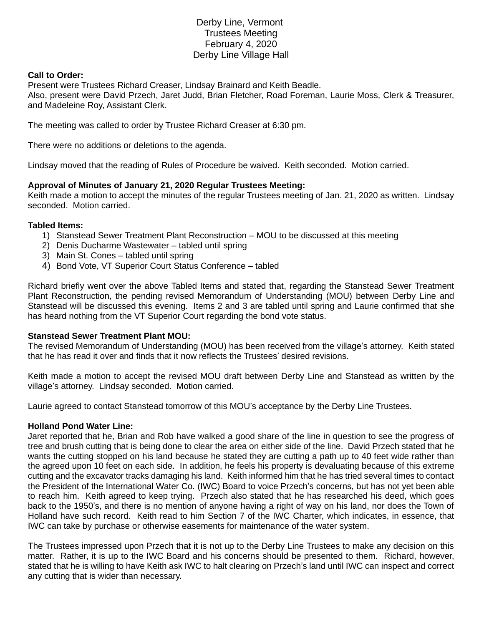# Derby Line, Vermont Trustees Meeting February 4, 2020 Derby Line Village Hall

## **Call to Order:**

Present were Trustees Richard Creaser, Lindsay Brainard and Keith Beadle. Also, present were David Przech, Jaret Judd, Brian Fletcher, Road Foreman, Laurie Moss, Clerk & Treasurer, and Madeleine Roy, Assistant Clerk.

The meeting was called to order by Trustee Richard Creaser at 6:30 pm.

There were no additions or deletions to the agenda.

Lindsay moved that the reading of Rules of Procedure be waived. Keith seconded. Motion carried.

## **Approval of Minutes of January 21, 2020 Regular Trustees Meeting:**

Keith made a motion to accept the minutes of the regular Trustees meeting of Jan. 21, 2020 as written. Lindsay seconded. Motion carried.

#### **Tabled Items:**

- 1) Stanstead Sewer Treatment Plant Reconstruction MOU to be discussed at this meeting
- 2) Denis Ducharme Wastewater tabled until spring
- 3) Main St. Cones tabled until spring
- 4) Bond Vote, VT Superior Court Status Conference tabled

Richard briefly went over the above Tabled Items and stated that, regarding the Stanstead Sewer Treatment Plant Reconstruction, the pending revised Memorandum of Understanding (MOU) between Derby Line and Stanstead will be discussed this evening. Items 2 and 3 are tabled until spring and Laurie confirmed that she has heard nothing from the VT Superior Court regarding the bond vote status.

#### **Stanstead Sewer Treatment Plant MOU:**

The revised Memorandum of Understanding (MOU) has been received from the village's attorney. Keith stated that he has read it over and finds that it now reflects the Trustees' desired revisions.

Keith made a motion to accept the revised MOU draft between Derby Line and Stanstead as written by the village's attorney. Lindsay seconded. Motion carried.

Laurie agreed to contact Stanstead tomorrow of this MOU's acceptance by the Derby Line Trustees.

## **Holland Pond Water Line:**

Jaret reported that he, Brian and Rob have walked a good share of the line in question to see the progress of tree and brush cutting that is being done to clear the area on either side of the line. David Przech stated that he wants the cutting stopped on his land because he stated they are cutting a path up to 40 feet wide rather than the agreed upon 10 feet on each side. In addition, he feels his property is devaluating because of this extreme cutting and the excavator tracks damaging his land. Keith informed him that he has tried several times to contact the President of the International Water Co. (IWC) Board to voice Przech's concerns, but has not yet been able to reach him. Keith agreed to keep trying. Przech also stated that he has researched his deed, which goes back to the 1950's, and there is no mention of anyone having a right of way on his land, nor does the Town of Holland have such record. Keith read to him Section 7 of the IWC Charter, which indicates, in essence, that IWC can take by purchase or otherwise easements for maintenance of the water system.

The Trustees impressed upon Przech that it is not up to the Derby Line Trustees to make any decision on this matter. Rather, it is up to the IWC Board and his concerns should be presented to them. Richard, however, stated that he is willing to have Keith ask IWC to halt clearing on Przech's land until IWC can inspect and correct any cutting that is wider than necessary.